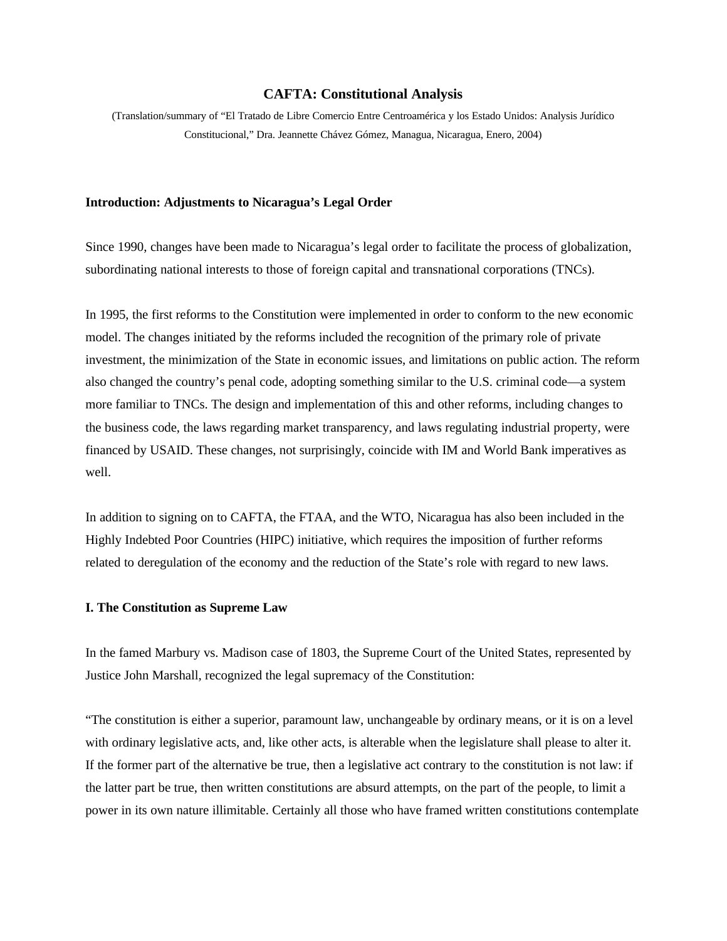### **CAFTA: Constitutional Analysis**

(Translation/summary of "El Tratado de Libre Comercio Entre Centroamérica y los Estado Unidos: Analysis Jurídico Constitucional," Dra. Jeannette Chávez Gómez, Managua, Nicaragua, Enero, 2004)

# **Introduction: Adjustments to Nicaragua's Legal Order**

Since 1990, changes have been made to Nicaragua's legal order to facilitate the process of globalization, subordinating national interests to those of foreign capital and transnational corporations (TNCs).

In 1995, the first reforms to the Constitution were implemented in order to conform to the new economic model. The changes initiated by the reforms included the recognition of the primary role of private investment, the minimization of the State in economic issues, and limitations on public action. The reform also changed the country's penal code, adopting something similar to the U.S. criminal code—a system more familiar to TNCs. The design and implementation of this and other reforms, including changes to the business code, the laws regarding market transparency, and laws regulating industrial property, were financed by USAID. These changes, not surprisingly, coincide with IM and World Bank imperatives as well.

In addition to signing on to CAFTA, the FTAA, and the WTO, Nicaragua has also been included in the Highly Indebted Poor Countries (HIPC) initiative, which requires the imposition of further reforms related to deregulation of the economy and the reduction of the State's role with regard to new laws.

### **I. The Constitution as Supreme Law**

In the famed Marbury vs. Madison case of 1803, the Supreme Court of the United States, represented by Justice John Marshall, recognized the legal supremacy of the Constitution:

"The constitution is either a superior, paramount law, unchangeable by ordinary means, or it is on a level with ordinary legislative acts, and, like other acts, is alterable when the legislature shall please to alter it. If the former part of the alternative be true, then a legislative act contrary to the constitution is not law: if the latter part be true, then written constitutions are absurd attempts, on the part of the people, to limit a power in its own nature illimitable. Certainly all those who have framed written constitutions contemplate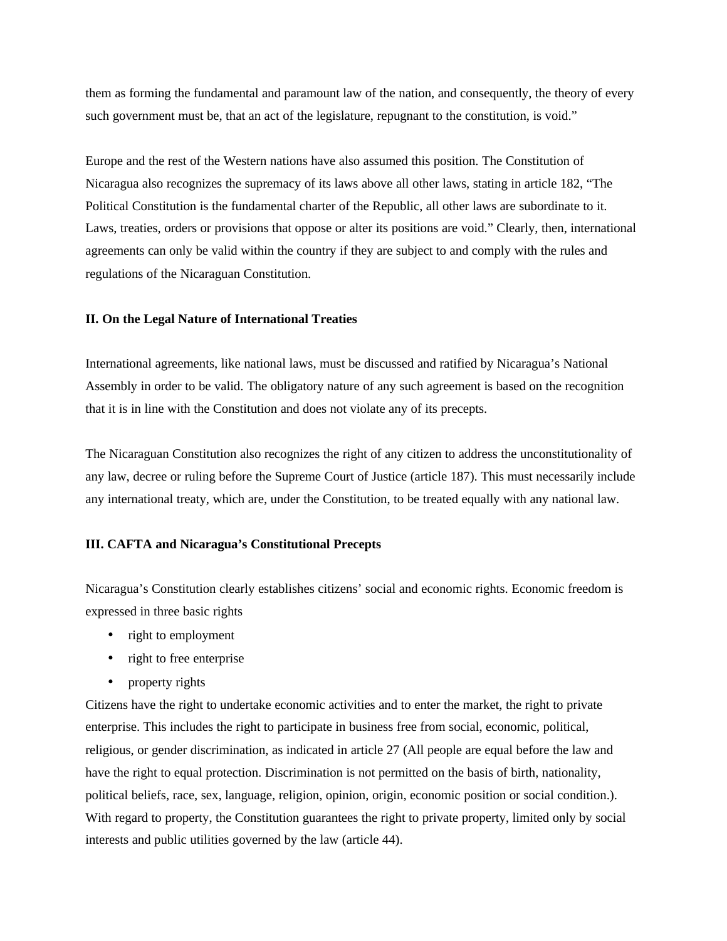them as forming the fundamental and paramount law of the nation, and consequently, the theory of every such government must be, that an act of the legislature, repugnant to the constitution, is void."

Europe and the rest of the Western nations have also assumed this position. The Constitution of Nicaragua also recognizes the supremacy of its laws above all other laws, stating in article 182, "The Political Constitution is the fundamental charter of the Republic, all other laws are subordinate to it. Laws, treaties, orders or provisions that oppose or alter its positions are void." Clearly, then, international agreements can only be valid within the country if they are subject to and comply with the rules and regulations of the Nicaraguan Constitution.

### **II. On the Legal Nature of International Treaties**

International agreements, like national laws, must be discussed and ratified by Nicaragua's National Assembly in order to be valid. The obligatory nature of any such agreement is based on the recognition that it is in line with the Constitution and does not violate any of its precepts.

The Nicaraguan Constitution also recognizes the right of any citizen to address the unconstitutionality of any law, decree or ruling before the Supreme Court of Justice (article 187). This must necessarily include any international treaty, which are, under the Constitution, to be treated equally with any national law.

# **III. CAFTA and Nicaragua's Constitutional Precepts**

Nicaragua's Constitution clearly establishes citizens' social and economic rights. Economic freedom is expressed in three basic rights

- right to employment
- right to free enterprise
- property rights

Citizens have the right to undertake economic activities and to enter the market, the right to private enterprise. This includes the right to participate in business free from social, economic, political, religious, or gender discrimination, as indicated in article 27 (All people are equal before the law and have the right to equal protection. Discrimination is not permitted on the basis of birth, nationality, political beliefs, race, sex, language, religion, opinion, origin, economic position or social condition.). With regard to property, the Constitution guarantees the right to private property, limited only by social interests and public utilities governed by the law (article 44).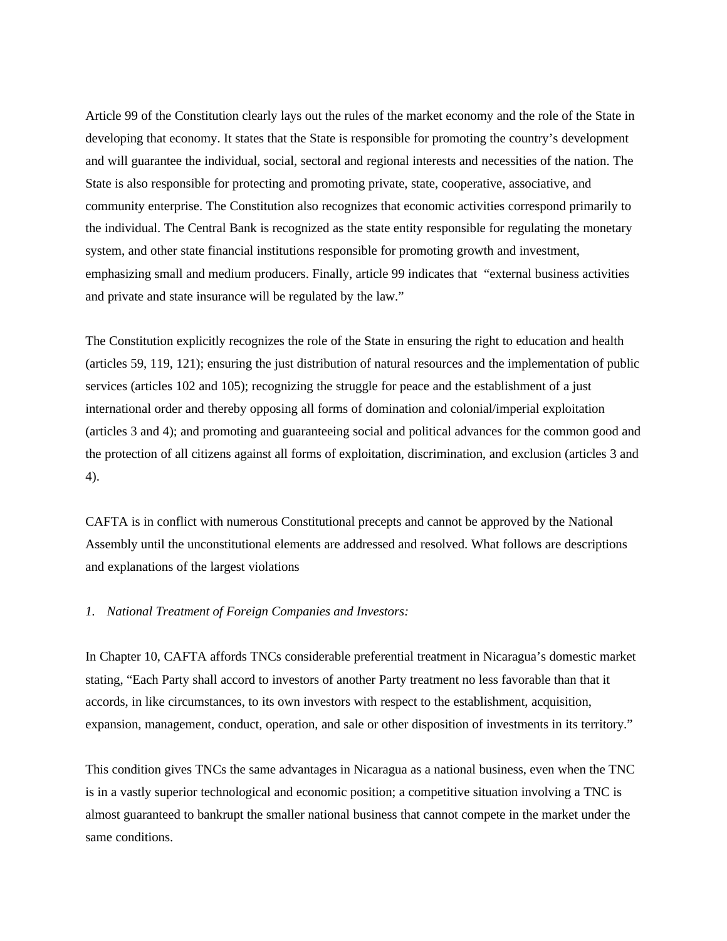Article 99 of the Constitution clearly lays out the rules of the market economy and the role of the State in developing that economy. It states that the State is responsible for promoting the country's development and will guarantee the individual, social, sectoral and regional interests and necessities of the nation. The State is also responsible for protecting and promoting private, state, cooperative, associative, and community enterprise. The Constitution also recognizes that economic activities correspond primarily to the individual. The Central Bank is recognized as the state entity responsible for regulating the monetary system, and other state financial institutions responsible for promoting growth and investment, emphasizing small and medium producers. Finally, article 99 indicates that "external business activities and private and state insurance will be regulated by the law."

The Constitution explicitly recognizes the role of the State in ensuring the right to education and health (articles 59, 119, 121); ensuring the just distribution of natural resources and the implementation of public services (articles 102 and 105); recognizing the struggle for peace and the establishment of a just international order and thereby opposing all forms of domination and colonial/imperial exploitation (articles 3 and 4); and promoting and guaranteeing social and political advances for the common good and the protection of all citizens against all forms of exploitation, discrimination, and exclusion (articles 3 and 4).

CAFTA is in conflict with numerous Constitutional precepts and cannot be approved by the National Assembly until the unconstitutional elements are addressed and resolved. What follows are descriptions and explanations of the largest violations

# *1. National Treatment of Foreign Companies and Investors:*

In Chapter 10, CAFTA affords TNCs considerable preferential treatment in Nicaragua's domestic market stating, "Each Party shall accord to investors of another Party treatment no less favorable than that it accords, in like circumstances, to its own investors with respect to the establishment, acquisition, expansion, management, conduct, operation, and sale or other disposition of investments in its territory."

This condition gives TNCs the same advantages in Nicaragua as a national business, even when the TNC is in a vastly superior technological and economic position; a competitive situation involving a TNC is almost guaranteed to bankrupt the smaller national business that cannot compete in the market under the same conditions.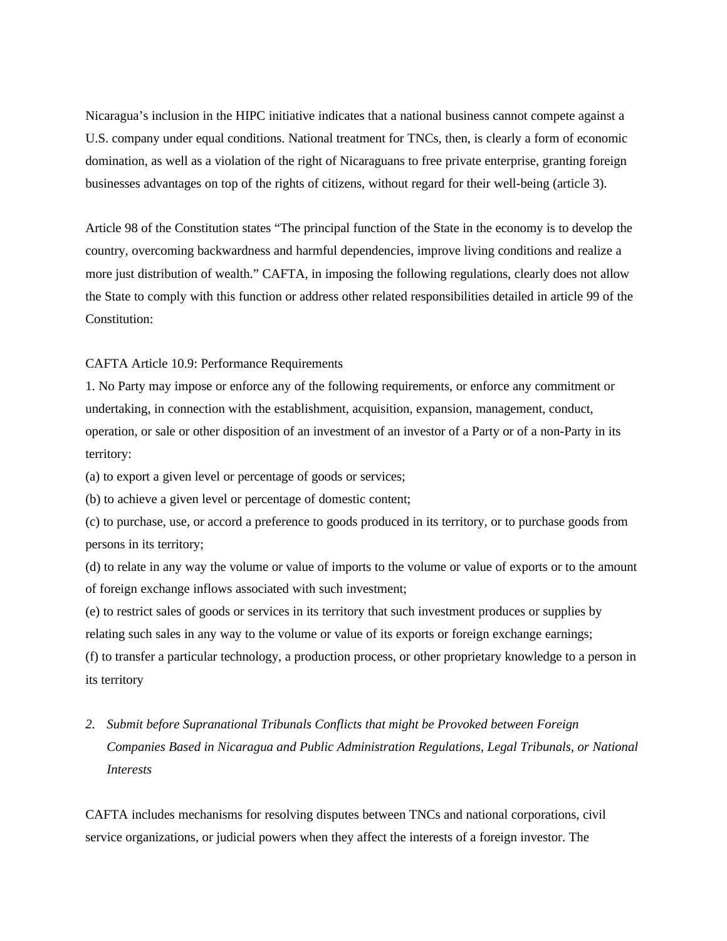Nicaragua's inclusion in the HIPC initiative indicates that a national business cannot compete against a U.S. company under equal conditions. National treatment for TNCs, then, is clearly a form of economic domination, as well as a violation of the right of Nicaraguans to free private enterprise, granting foreign businesses advantages on top of the rights of citizens, without regard for their well-being (article 3).

Article 98 of the Constitution states "The principal function of the State in the economy is to develop the country, overcoming backwardness and harmful dependencies, improve living conditions and realize a more just distribution of wealth." CAFTA, in imposing the following regulations, clearly does not allow the State to comply with this function or address other related responsibilities detailed in article 99 of the Constitution:

# CAFTA Article 10.9: Performance Requirements

1. No Party may impose or enforce any of the following requirements, or enforce any commitment or undertaking, in connection with the establishment, acquisition, expansion, management, conduct, operation, or sale or other disposition of an investment of an investor of a Party or of a non-Party in its territory:

(a) to export a given level or percentage of goods or services;

(b) to achieve a given level or percentage of domestic content;

(c) to purchase, use, or accord a preference to goods produced in its territory, or to purchase goods from persons in its territory;

(d) to relate in any way the volume or value of imports to the volume or value of exports or to the amount of foreign exchange inflows associated with such investment;

(e) to restrict sales of goods or services in its territory that such investment produces or supplies by relating such sales in any way to the volume or value of its exports or foreign exchange earnings;

(f) to transfer a particular technology, a production process, or other proprietary knowledge to a person in its territory

*2. Submit before Supranational Tribunals Conflicts that might be Provoked between Foreign Companies Based in Nicaragua and Public Administration Regulations, Legal Tribunals, or National Interests*

CAFTA includes mechanisms for resolving disputes between TNCs and national corporations, civil service organizations, or judicial powers when they affect the interests of a foreign investor. The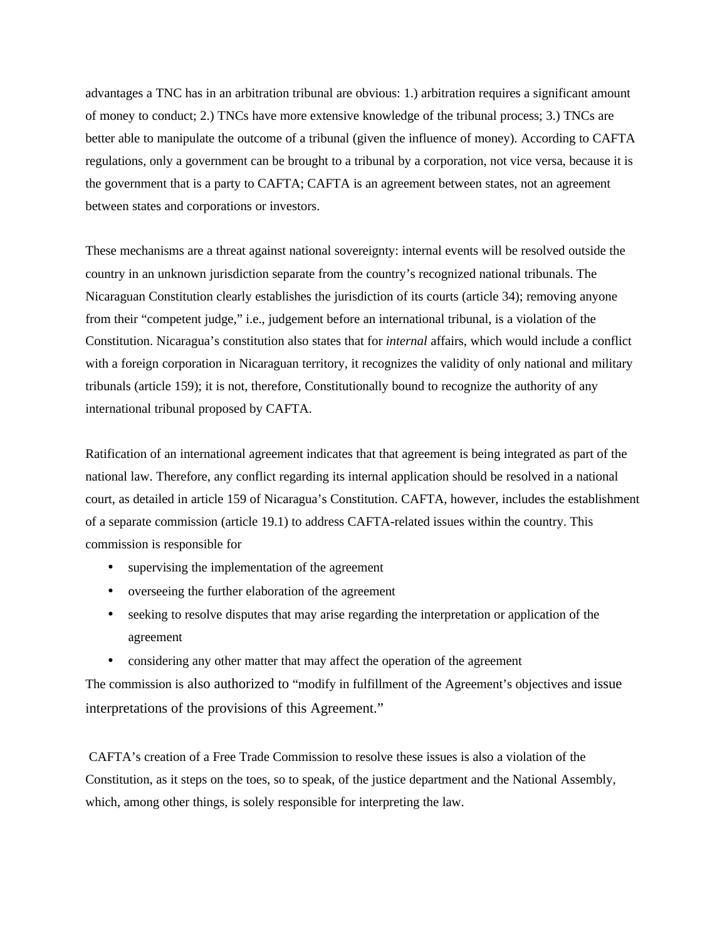advantages a TNC has in an arbitration tribunal are obvious: 1.) arbitration requires a significant amount of money to conduct; 2.) TNCs have more extensive knowledge of the tribunal process; 3.) TNCs are better able to manipulate the outcome of a tribunal (given the influence of money). According to CAFTA regulations, only a government can be brought to a tribunal by a corporation, not vice versa, because it is the government that is a party to CAFTA; CAFTA is an agreement between states, not an agreement between states and corporations or investors.

These mechanisms are a threat against national sovereignty: internal events will be resolved outside the country in an unknown jurisdiction separate from the country's recognized national tribunals. The Nicaraguan Constitution clearly establishes the jurisdiction of its courts (article 34); removing anyone from their "competent judge," i.e., judgement before an international tribunal, is a violation of the Constitution. Nicaragua's constitution also states that for *internal* affairs, which would include a conflict with a foreign corporation in Nicaraguan territory, it recognizes the validity of only national and military tribunals (article 159); it is not, therefore, Constitutionally bound to recognize the authority of any international tribunal proposed by CAFTA.

Ratification of an international agreement indicates that that agreement is being integrated as part of the national law. Therefore, any conflict regarding its internal application should be resolved in a national court, as detailed in article 159 of Nicaragua's Constitution. CAFTA, however, includes the establishment of a separate commission (article 19.1) to address CAFTA-related issues within the country. This commission is responsible for

- supervising the implementation of the agreement
- overseeing the further elaboration of the agreement
- seeking to resolve disputes that may arise regarding the interpretation or application of the agreement
- considering any other matter that may affect the operation of the agreement

The commission is also authorized to "modify in fulfillment of the Agreement's objectives and issue interpretations of the provisions of this Agreement."

CAFTA's creation of a Free Trade Commission to resolve these issues is also a violation of the Constitution, as it steps on the toes, so to speak, of the justice department and the National Assembly, which, among other things, is solely responsible for interpreting the law.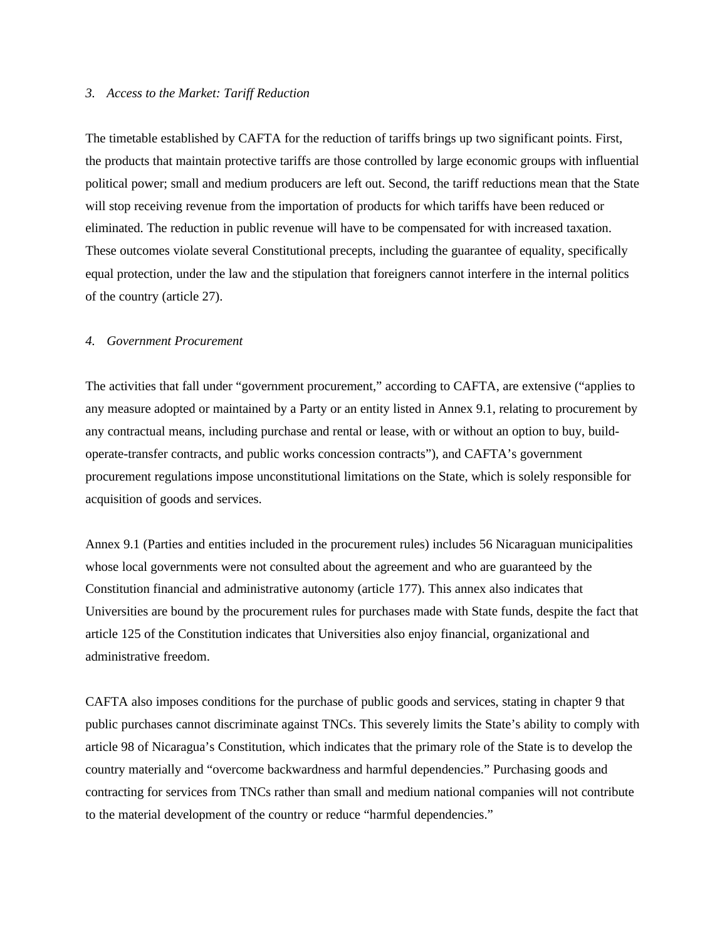### *3. Access to the Market: Tariff Reduction*

The timetable established by CAFTA for the reduction of tariffs brings up two significant points. First, the products that maintain protective tariffs are those controlled by large economic groups with influential political power; small and medium producers are left out. Second, the tariff reductions mean that the State will stop receiving revenue from the importation of products for which tariffs have been reduced or eliminated. The reduction in public revenue will have to be compensated for with increased taxation. These outcomes violate several Constitutional precepts, including the guarantee of equality, specifically equal protection, under the law and the stipulation that foreigners cannot interfere in the internal politics of the country (article 27).

#### *4. Government Procurement*

The activities that fall under "government procurement," according to CAFTA, are extensive ("applies to any measure adopted or maintained by a Party or an entity listed in Annex 9.1, relating to procurement by any contractual means, including purchase and rental or lease, with or without an option to buy, buildoperate-transfer contracts, and public works concession contracts"), and CAFTA's government procurement regulations impose unconstitutional limitations on the State, which is solely responsible for acquisition of goods and services.

Annex 9.1 (Parties and entities included in the procurement rules) includes 56 Nicaraguan municipalities whose local governments were not consulted about the agreement and who are guaranteed by the Constitution financial and administrative autonomy (article 177). This annex also indicates that Universities are bound by the procurement rules for purchases made with State funds, despite the fact that article 125 of the Constitution indicates that Universities also enjoy financial, organizational and administrative freedom.

CAFTA also imposes conditions for the purchase of public goods and services, stating in chapter 9 that public purchases cannot discriminate against TNCs. This severely limits the State's ability to comply with article 98 of Nicaragua's Constitution, which indicates that the primary role of the State is to develop the country materially and "overcome backwardness and harmful dependencies." Purchasing goods and contracting for services from TNCs rather than small and medium national companies will not contribute to the material development of the country or reduce "harmful dependencies."